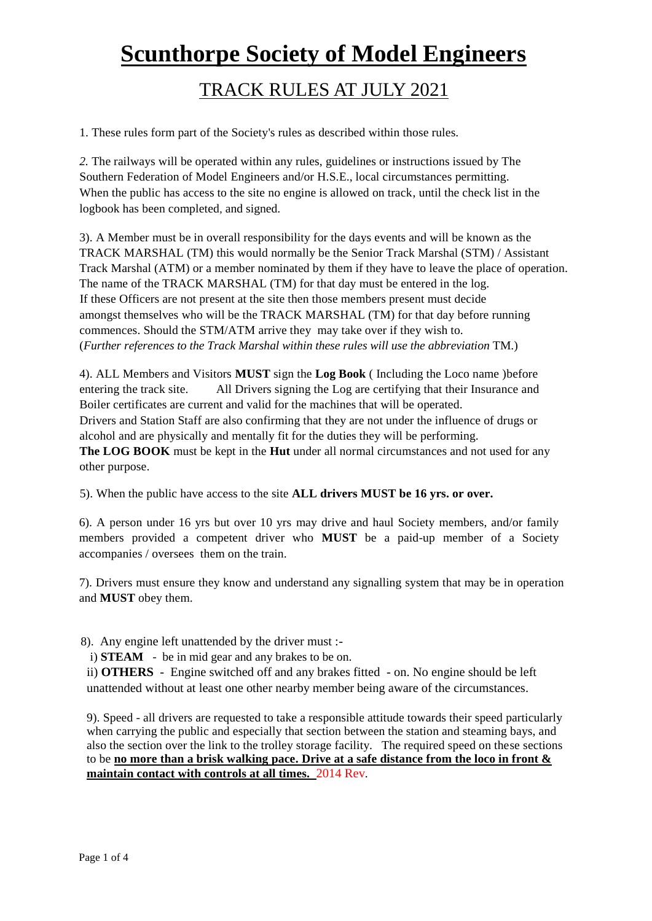# **Scunthorpe Society of Model Engineers**

# TRACK RULES AT JULY 2021

1. These rules form part of the Society's rules as described within those rules.

*2.* The railways will be operated within any rules, guidelines or instructions issued by The Southern Federation of Model Engineers and/or H.S.E., local circumstances permitting. When the public has access to the site no engine is allowed on track, until the check list in the logbook has been completed, and signed.

3). A Member must be in overall responsibility for the days events and will be known as the TRACK MARSHAL (TM) this would normally be the Senior Track Marshal (STM) / Assistant Track Marshal (ATM) or a member nominated by them if they have to leave the place of operation. The name of the TRACK MARSHAL (TM) for that day must be entered in the log. If these Officers are not present at the site then those members present must decide amongst themselves who will be the TRACK MARSHAL (TM) for that day before running commences. Should the STM/ATM arrive they may take over if they wish to. (*Further references to the Track Marshal within these rules will use the abbreviation* TM.)

4). ALL Members and Visitors **MUST** sign the **Log Book** ( Including the Loco name )before entering the track site. All Drivers signing the Log are certifying that their Insurance and Boiler certificates are current and valid for the machines that will be operated. Drivers and Station Staff are also confirming that they are not under the influence of drugs or alcohol and are physically and mentally fit for the duties they will be performing. **The LOG BOOK** must be kept in the **Hut** under all normal circumstances and not used for any other purpose.

5). When the public have access to the site **ALL drivers MUST be 16 yrs. or over.**

6). A person under 16 yrs but over 10 yrs may drive and haul Society members, and/or family members provided a competent driver who **MUST** be a paid-up member of a Society accompanies / oversees them on the train.

7). Drivers must ensure they know and understand any signalling system that may be in operation and **MUST** obey them.

8). Any engine left unattended by the driver must :-

i) **STEAM** - be in mid gear and any brakes to be on.

ii) **OTHERS** - Engine switched off and any brakes fitted - on. No engine should be left unattended without at least one other nearby member being aware of the circumstances.

9). Speed - all drivers are requested to take a responsible attitude towards their speed particularly when carrying the public and especially that section between the station and steaming bays, and also the section over the link to the trolley storage facility. The required speed on these sections to be **no more than a brisk walking pace. Drive at a safe distance from the loco in front & maintain contact with controls at all times.** 2014 Rev.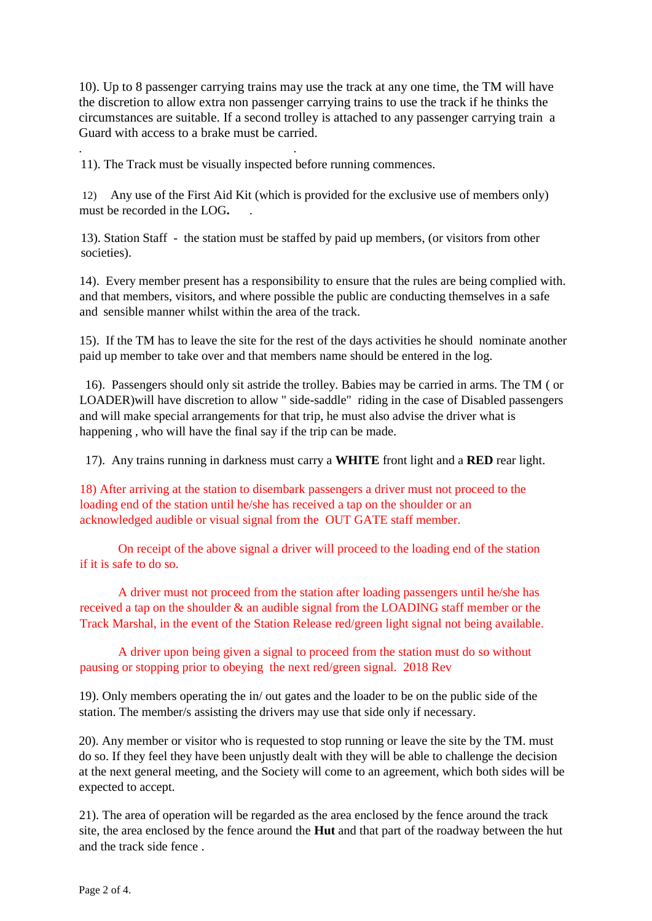10). Up to 8 passenger carrying trains may use the track at any one time, the TM will have the discretion to allow extra non passenger carrying trains to use the track if he thinks the circumstances are suitable. If a second trolley is attached to any passenger carrying train a Guard with access to a brake must be carried.

11). The Track must be visually inspected before running commences.

. .

12) Any use of the First Aid Kit (which is provided for the exclusive use of members only) must be recorded in the LOG**.** .

13). Station Staff - the station must be staffed by paid up members, (or visitors from other societies).

14). Every member present has a responsibility to ensure that the rules are being complied with. and that members, visitors, and where possible the public are conducting themselves in a safe and sensible manner whilst within the area of the track.

15). If the TM has to leave the site for the rest of the days activities he should nominate another paid up member to take over and that members name should be entered in the log.

16). Passengers should only sit astride the trolley. Babies may be carried in arms. The TM ( or LOADER)will have discretion to allow " side-saddle" riding in the case of Disabled passengers and will make special arrangements for that trip, he must also advise the driver what is happening , who will have the final say if the trip can be made.

17). Any trains running in darkness must carry a **WHITE** front light and a **RED** rear light.

18) After arriving at the station to disembark passengers a driver must not proceed to the loading end of the station until he/she has received a tap on the shoulder or an acknowledged audible or visual signal from the OUT GATE staff member.

On receipt of the above signal a driver will proceed to the loading end of the station if it is safe to do so.

A driver must not proceed from the station after loading passengers until he/she has received a tap on the shoulder & an audible signal from the LOADING staff member or the Track Marshal, in the event of the Station Release red/green light signal not being available.

A driver upon being given a signal to proceed from the station must do so without pausing or stopping prior to obeying the next red/green signal. 2018 Rev

19). Only members operating the in/ out gates and the loader to be on the public side of the station. The member/s assisting the drivers may use that side only if necessary.

20). Any member or visitor who is requested to stop running or leave the site by the TM. must do so. If they feel they have been unjustly dealt with they will be able to challenge the decision at the next general meeting, and the Society will come to an agreement, which both sides will be expected to accept.

21). The area of operation will be regarded as the area enclosed by the fence around the track site, the area enclosed by the fence around the **Hut** and that part of the roadway between the hut and the track side fence .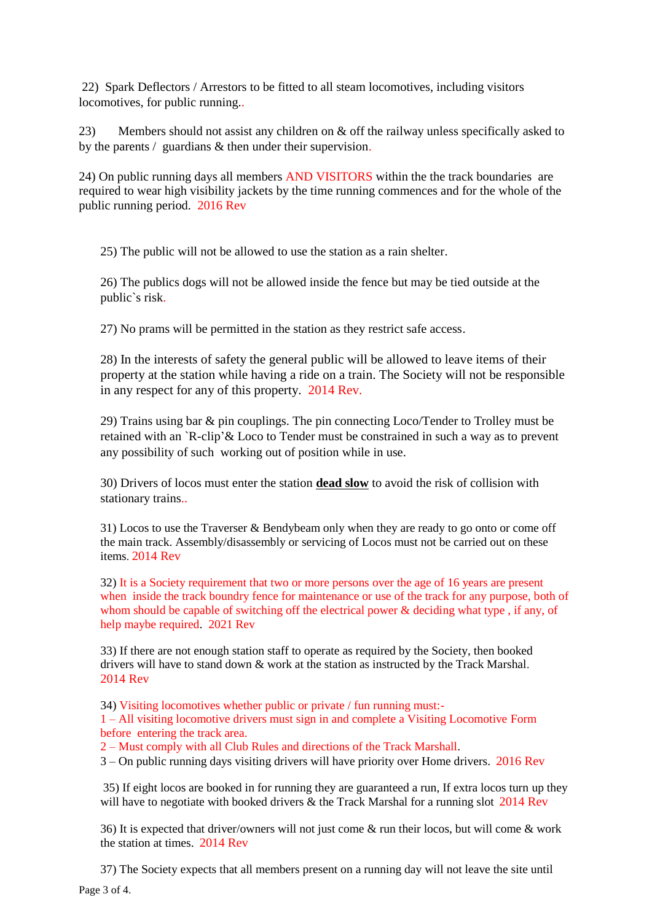22) Spark Deflectors / Arrestors to be fitted to all steam locomotives, including visitors locomotives, for public running..

23) Members should not assist any children on & off the railway unless specifically asked to by the parents / guardians & then under their supervision.

24) On public running days all members AND VISITORS within the the track boundaries are required to wear high visibility jackets by the time running commences and for the whole of the public running period. 2016 Rev

25) The public will not be allowed to use the station as a rain shelter.

26) The publics dogs will not be allowed inside the fence but may be tied outside at the public`s risk.

27) No prams will be permitted in the station as they restrict safe access.

28) In the interests of safety the general public will be allowed to leave items of their property at the station while having a ride on a train. The Society will not be responsible in any respect for any of this property. 2014 Rev.

29) Trains using bar & pin couplings. The pin connecting Loco/Tender to Trolley must be retained with an `R-clip'& Loco to Tender must be constrained in such a way as to prevent any possibility of such working out of position while in use.

30) Drivers of locos must enter the station **dead slow** to avoid the risk of collision with stationary trains..

31) Locos to use the Traverser & Bendybeam only when they are ready to go onto or come off the main track. Assembly/disassembly or servicing of Locos must not be carried out on these items. 2014 Rev

32) It is a Society requirement that two or more persons over the age of 16 years are present when inside the track boundry fence for maintenance or use of the track for any purpose, both of whom should be capable of switching off the electrical power & deciding what type, if any, of help maybe required. 2021 Rev

33) If there are not enough station staff to operate as required by the Society, then booked drivers will have to stand down & work at the station as instructed by the Track Marshal. 2014 Rev

34) Visiting locomotives whether public or private / fun running must:-

1 – All visiting locomotive drivers must sign in and complete a Visiting Locomotive Form before entering the track area.

2 – Must comply with all Club Rules and directions of the Track Marshall.

3 – On public running days visiting drivers will have priority over Home drivers. 2016 Rev

35) If eight locos are booked in for running they are guaranteed a run, If extra locos turn up they will have to negotiate with booked drivers  $\&$  the Track Marshal for a running slot 2014 Rev

36) It is expected that driver/owners will not just come & run their locos, but will come & work the station at times. 2014 Rev

Page 3 of 4. 37) The Society expects that all members present on a running day will not leave the site until